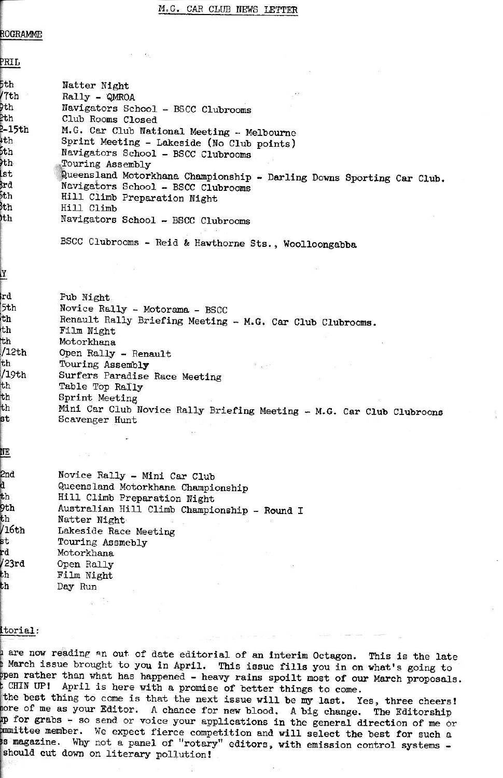ROGRAMME

PRTT.

| .           |                                                                       |
|-------------|-----------------------------------------------------------------------|
| 5th         | Natter Night                                                          |
| /7th        | Rally - QMROA                                                         |
| Pth         | Navigators School - BSCC Clubrooms                                    |
| <b>l</b> th | Club Rooms Closed                                                     |
| $2 - 15th$  | M.G. Car Club National Meeting - Melbourne                            |
| $+th$       | Sprint Meeting - Lakeside (No Club points)                            |
| 6th         | Navigators School - BSCC Clubrooms                                    |
| )th         | Touring Assembly                                                      |
| lst         | Queensland Motorkhana Championship - Darling Downs Sporting Car Club. |
| Brd         | Navigators School - BSCC Clubrooms                                    |
| 5th         | Hill Climb Preparation Night                                          |
| bth         | Hill Climb                                                            |
| <b>th</b>   | Navigators School - BSCC Clubrooms                                    |
|             | BSCC Clubrooms - Reid & Hawthorne Sts., Woolloongabba                 |
| Y           |                                                                       |
|             |                                                                       |
| lrd.        | Pub Night                                                             |
| 5th         | Novice Rally - Motorama - BSCC                                        |
| th          | Renault Rally Briefing Meeting - M.G. Car Club Clubrooms.             |
| th          | Film Night                                                            |
| th          | Motorkhana                                                            |
| 12th        | Open Rally - Renault                                                  |
| th          | Touring Assembly                                                      |
| /19th       | Surfers Paradise Race Meeting                                         |
| th          | Table Top Rally                                                       |
| th          | Sprint Meeting                                                        |
| th          | Mini Car Club Novice Rally Briefing Meeting - M.G. Car Club Clubroons |
| st          | Scavenger Hunt                                                        |
|             |                                                                       |
| NΕ          |                                                                       |
| 2nd         | Novice Rally - Mini Car Club                                          |
| đ           | Queensland Motorkhana Championship                                    |
| th          | Hill Climb Preparation Night                                          |
| 9th         | Australian Hill Climb Championship - Round I                          |
| th          | Natter Night                                                          |
| /16th       | Lakeside Race Meeting                                                 |
| st.         | Touring Assmebly                                                      |
| rd          | Motorkhana                                                            |
| l23rd       | Open Rally                                                            |
| th          | Film Night                                                            |
| th          | Day Run                                                               |
|             | s Bo                                                                  |
|             |                                                                       |

# itorial:

are now reading an out of date editorial of an interim Octagon. This is the late March issue brought to you in April. This issue fills you in on what's going to ppen rather than what has happened - heavy rains spoilt most of our March proposals. CHIN UP! April is here with a promise of better things to come. the best thing to come is that the next issue will be my last. Yes, three cheers! nore of me as your Editor. A chance for new blood. A big change. The Editorship up for grabs - so send or voice your applications in the general direction of me or mmittee member. We expect fierce competition and will select the best for such a s magazine. Why not a panel of "rotary" editors, with emission control systems should cut down on literary pollution!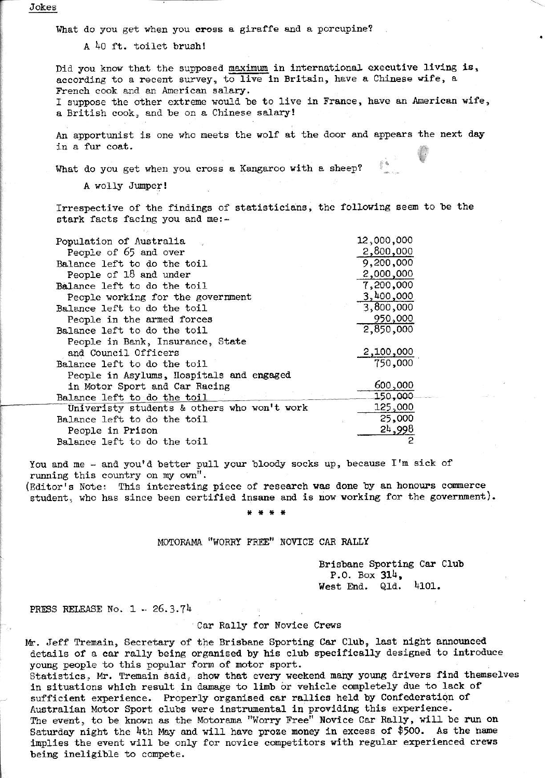Jokes

What do you get when you cross a giraffe and a porcupine?

A 40 ft. toilet brush!

Did you know that the supposed maximum in international executive living is, according to a recent survey, to live in Britain, have a Chinese wife, a French cook and an American salary.

I suppose the other extreme would be to live in France, have an American wife, a British cook, and be on a Chinese salary!

An apportunist is one who meets the wolf at the door and appears the next day in a fur coat.

What do you get when you cross a Kangaroo with a sheep?

A wolly Jumper!

Irrespective of the findings of statisticians, the following seem to be the stark facts facing you and me:-

| Population of Australia                     | 12,000,000 |
|---------------------------------------------|------------|
| People of 65 and over                       | 2,800,000  |
| Balance left to do the toil                 | 9,200,000  |
| People of 18 and under                      | 2,000,000  |
| Balance left to do the toil                 | 7,200,000  |
| People working for the government           | 3,400,000  |
| Balance left to do the toil                 | 3,800,000  |
| People in the armed forces                  | 950,000    |
| Balance left to do the toil                 | 2,850,000  |
| People in Bank, Insurance, State            |            |
| and Council Officers                        | 2,100,000  |
| Balance left to do the toil                 | 750,000    |
| People in Asylums, Hospitals and engaged    |            |
| in Motor Sport and Car Racing               | 600,000    |
| Balance left to do the toil                 | 150,000    |
| Univeristy students & others who won't work | 125,000    |
| Balance left to do the toil                 | 25,000     |
| People in Prison                            | 24,998     |
| Balance left to do the toil                 |            |

You and me - and you'd better pull your bloody socks up, because I'm sick of running this country on my own".

(Editor's Note: This interesting piece of research was done by an honours commerce student, who has since been certified insane and is now working for the government).

# MOTORAMA "WORRY FREE" NOVICE CAR RALLY

Brisbane Sporting Car Club P.O. Box  $314$ . 4101. West End. Qld.

PRESS RELEASE No.  $1 - 26.3.74$ 

## Car Rally for Novice Crews

Mr. Jeff Tremain, Secretary of the Brisbane Sporting Car Club, last night announced details of a car rally being organised by his club specifically designed to introduce young people to this popular form of motor sport.

Statistics, Mr. Tremain said, show that every weekend many young drivers find themselves in situations which result in damage to limb or vehicle completely due to lack of sufficient experience. Properly organised car rallies held by Confederation of Australian Motor Sport clubs were instrumental in providing this experience. The event, to be known as the Motorama "Worry Free" Novice Car Rally, will be run on Saturday night the 4th May and will have proze money in excess of \$500. As the name implies the event will be only for novice competitors with regular experienced crews being ineligible to compete.